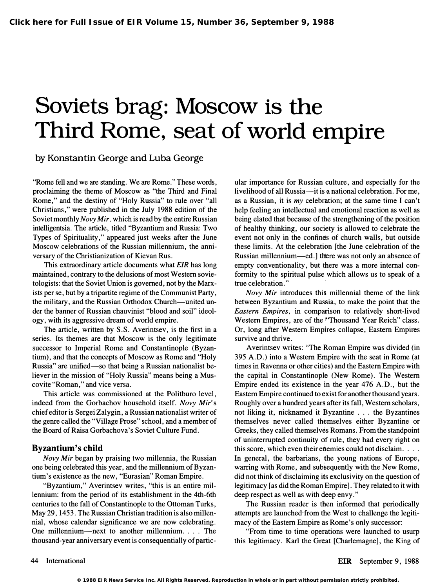## Soviets brag: Moscow is the Third Rome, seat of world empire

by Konstantin George and Luba George

"Rome fell and we are standing. We are Rome." These words, proclaiming the theme of Moscow as "the Third and Final Rome," and the destiny of "Holy Russia" to rule over "all Christians," were published in the July 1988 edition of the Soviet monthly Novy Mir, which is read by the entire Russian intelligentsia. The article, titled "Byzantium and Russia: Two Types of Spirituality," appeared just weeks after the June Moscow celebrations of the Russian millennium, the anniversary of the Christianization of Kievan Rus.

This extraordinary article documents what EIR has long maintained, contrary to the delusions of most Western sovietologists: that the Soviet Union is governed, not by the Marxists per se, but by a tripartite regime of the Communist Party , the military, and the Russian Orthodox Church-united under the banner of Russian chauvinist "blood and soil" ideology, with its aggressive dream of world empire.

The article, written by S.S. Averintsev, is the first in a series. Its themes are that Moscow is the only legitimate successor to Imperial Rome and Constantinople (Byzantium), and that the concepts of Moscow as Rome and "Holy Russia" are unified—so that being a Russian nationalist believer in the mission of "Holy Russia" means being a Muscovite "Roman," and vice versa.

This article was commissioned at the Politburo level, indeed from the Gorbachov household itself. Novy Mir's chief editor is Sergei Zalygin, a Russian nationalist writer of the genre called the "Village Prose" school, and a member of the Board of Raisa Gorbachova's Soviet Culture Fund.

## Byzantium's child

Novy Mir began by praising two millennia, the Russian one being celebrated this year, and the millennium of Byzantium's existence as the new, "Eurasian" Roman Empire.

"Byzantium," Averintsev writes, "this is an entire millennium: from the period of its establishment in the 4th-6th centuries to the fall of Constantinople to the Ottoman Turks, May 29, 1453. The Russian Christian tradition is also millennial, whose calendar significance we are now celebrating. One millennium—next to another millennium. . . . The thousand-year anniversary event is consequentially of particular importance for Russian culture, and especially for the livelihood of all Russia—it is a national celebration. For me, as a Russian, it is my celebration; at the same time I can't help feeling an intellectual and emotional reaction as well as being elated that because of the strengthening of the position of healthy thinking, our society is allowed to celebrate the event not only in the confines of church walls, but outside these limits. At the celebration [the June celebration of the Russian millennium-ed.] there was not only an absence of empty conventionality, but there was a more internal conformity to the spiritual pulse which allows us to speak of a true celebration."

Novy Mir introduces this millennial theme of the link between Byzantium and Russia, to make the point that the Eastern Empires, in comparison to relatively short-lived Western Empires, are of the "Thousand Year Reich" class. Or, long after Western Empires collapse, Eastern Empires survive and thrive.

Averintsev writes: "The Roman Empire was divided (in 395 A.D.) into a Western Empire with the seat in Rome (at times in Ravenna or other cities) and the Eastern Empire with the capital in Constantinople (New Rome). The Western Empire ended its existence in the year 476 A.D., but the Eastern Empire continued to exist for another thousand years. Roughly over a hundred years after its fall, Western scholars, not liking it, nicknamed it Byzantine . . . the Byzantines themselves never called themselves either Byzantine or Greeks, they called themselves Romans. From the standpoint of uninterrupted continuity of rule, they had every right on this score, which even their enemies could not disclaim. . . . In general, the barbarians, the young nations of Europe, warring with Rome, and subsequently with the New Rome, did not think of disclaiming its exclusivity on the question of legitimacy [as did the Roman Empire]. They related to it with deep respect as well as with deep envy. "

The Russian reader is then informed that periodically attempts are launched from the West to challenge the legitimacy of the Eastern Empire as Rome's only successor:

"From time to time operations were launched to usurp this legitimacy. Karl the Great [Charlemagne], the King of